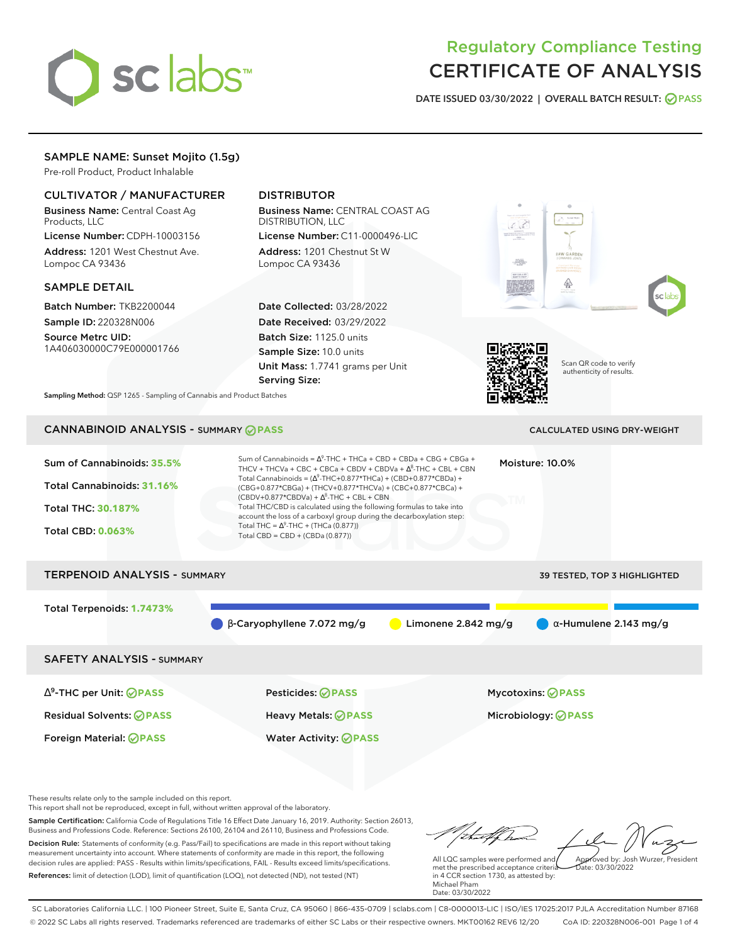# sclabs<sup>\*</sup>

# Regulatory Compliance Testing CERTIFICATE OF ANALYSIS

**DATE ISSUED 03/30/2022 | OVERALL BATCH RESULT: PASS**

# SAMPLE NAME: Sunset Mojito (1.5g)

Pre-roll Product, Product Inhalable

# CULTIVATOR / MANUFACTURER

Business Name: Central Coast Ag Products, LLC License Number: CDPH-10003156

Address: 1201 West Chestnut Ave. Lompoc CA 93436

#### SAMPLE DETAIL

Batch Number: TKB2200044 Sample ID: 220328N006

Source Metrc UID: 1A406030000C79E000001766

# DISTRIBUTOR

Business Name: CENTRAL COAST AG DISTRIBUTION, LLC License Number: C11-0000496-LIC

Address: 1201 Chestnut St W Lompoc CA 93436

Date Collected: 03/28/2022 Date Received: 03/29/2022 Batch Size: 1125.0 units Sample Size: 10.0 units Unit Mass: 1.7741 grams per Unit Serving Size:







Scan QR code to verify authenticity of results.

**Sampling Method:** QSP 1265 - Sampling of Cannabis and Product Batches

# CANNABINOID ANALYSIS - SUMMARY **PASS** CALCULATED USING DRY-WEIGHT

| Sum of Cannabinoids: 35.5%<br>Total Cannabinoids: 31.16%<br><b>Total THC: 30.187%</b><br><b>Total CBD: 0.063%</b> | Sum of Cannabinoids = $\Delta^9$ -THC + THCa + CBD + CBDa + CBG + CBGa +<br>THCV + THCVa + CBC + CBCa + CBDV + CBDVa + $\Lambda^8$ -THC + CBL + CBN<br>Total Cannabinoids = $(\Delta^9$ -THC+0.877*THCa) + (CBD+0.877*CBDa) +<br>(CBG+0.877*CBGa) + (THCV+0.877*THCVa) + (CBC+0.877*CBCa) +<br>$(CBDV+0.877*CBDVa) + \Delta^8$ -THC + CBL + CBN<br>Total THC/CBD is calculated using the following formulas to take into<br>account the loss of a carboxyl group during the decarboxylation step:<br>Total THC = $\Delta^9$ -THC + (THCa (0.877))<br>Total CBD = $CBD + (CBDa (0.877))$ | Moisture: 10.0%                     |
|-------------------------------------------------------------------------------------------------------------------|-----------------------------------------------------------------------------------------------------------------------------------------------------------------------------------------------------------------------------------------------------------------------------------------------------------------------------------------------------------------------------------------------------------------------------------------------------------------------------------------------------------------------------------------------------------------------------------------|-------------------------------------|
| <b>TERPENOID ANALYSIS - SUMMARY</b>                                                                               |                                                                                                                                                                                                                                                                                                                                                                                                                                                                                                                                                                                         | <b>39 TESTED, TOP 3 HIGHLIGHTED</b> |
| Total Terpenoids: 1.7473%                                                                                         | $\beta$ -Caryophyllene 7.072 mg/g<br>Limonene $2.842$ mg/g                                                                                                                                                                                                                                                                                                                                                                                                                                                                                                                              | $\alpha$ -Humulene 2.143 mg/g       |

SAFETY ANALYSIS - SUMMARY

∆ 9 -THC per Unit: **PASS** Pesticides: **PASS** Mycotoxins: **PASS** Residual Solvents: **PASS** Heavy Metals: **PASS** Microbiology: **PASS**

Foreign Material: **PASS** Water Activity: **PASS**

These results relate only to the sample included on this report.

This report shall not be reproduced, except in full, without written approval of the laboratory.

Sample Certification: California Code of Regulations Title 16 Effect Date January 16, 2019. Authority: Section 26013, Business and Professions Code. Reference: Sections 26100, 26104 and 26110, Business and Professions Code. Decision Rule: Statements of conformity (e.g. Pass/Fail) to specifications are made in this report without taking measurement uncertainty into account. Where statements of conformity are made in this report, the following decision rules are applied: PASS - Results within limits/specifications, FAIL - Results exceed limits/specifications.

References: limit of detection (LOD), limit of quantification (LOQ), not detected (ND), not tested (NT)

tu#f ha Approved by: Josh Wurzer, President

 $ate: 03/30/2022$ 

All LQC samples were performed and met the prescribed acceptance criteria in 4 CCR section 1730, as attested by: Michael Pham Date: 03/30/2022

SC Laboratories California LLC. | 100 Pioneer Street, Suite E, Santa Cruz, CA 95060 | 866-435-0709 | sclabs.com | C8-0000013-LIC | ISO/IES 17025:2017 PJLA Accreditation Number 87168 © 2022 SC Labs all rights reserved. Trademarks referenced are trademarks of either SC Labs or their respective owners. MKT00162 REV6 12/20 CoA ID: 220328N006-001 Page 1 of 4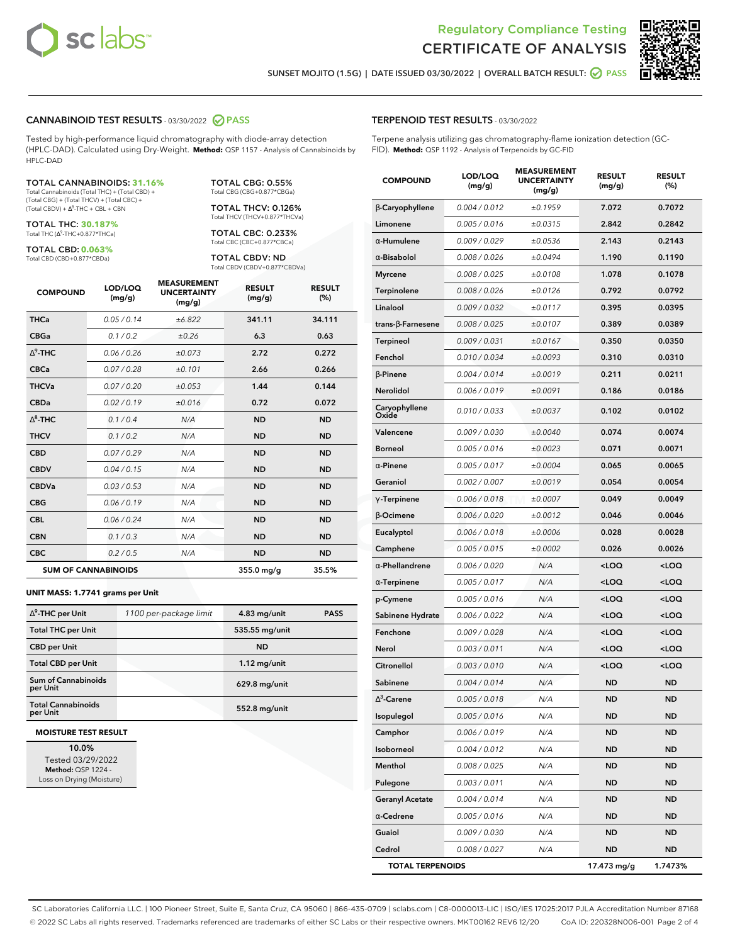



**SUNSET MOJITO (1.5G) | DATE ISSUED 03/30/2022 | OVERALL BATCH RESULT: PASS**

#### **CANNABINOID TEST RESULTS** - 03/30/2022 **PASS**

Tested by high-performance liquid chromatography with diode-array detection (HPLC-DAD). Calculated using Dry-Weight. **Method:** QSP 1157 - Analysis of Cannabinoids by HPLC-DAD

#### TOTAL CANNABINOIDS: **31.16%**

Total Cannabinoids (Total THC) + (Total CBD) + (Total CBG) + (Total THCV) + (Total CBC) +  $(Total CBDV) +  $\Delta^8$ -THC + CBL + CBN$ 

TOTAL THC: **30.187%** Total THC (Ƽ-THC+0.877\*THCa)

TOTAL CBD: **0.063%** Total CBD (CBD+0.877\*CBDa)

TOTAL CBG: 0.55% Total CBG (CBG+0.877\*CBGa)

TOTAL THCV: 0.126% Total THCV (THCV+0.877\*THCVa)

TOTAL CBC: 0.233% Total CBC (CBC+0.877\*CBCa)

TOTAL CBDV: ND Total CBDV (CBDV+0.877\*CBDVa)

| <b>COMPOUND</b> | LOD/LOQ<br>(mg/g)          | <b>MEASUREMENT</b><br><b>UNCERTAINTY</b><br>(mg/g) | <b>RESULT</b><br>(mg/g) | <b>RESULT</b><br>(%) |
|-----------------|----------------------------|----------------------------------------------------|-------------------------|----------------------|
| <b>THCa</b>     | 0.05/0.14                  | ±6.822                                             | 341.11                  | 34.111               |
| <b>CBGa</b>     | 0.1/0.2                    | ±0.26                                              | 6.3                     | 0.63                 |
| $\wedge^9$ -THC | 0.06/0.26                  | ±0.073                                             | 2.72                    | 0.272                |
| <b>CBCa</b>     | 0.07/0.28                  | ±0.101                                             | 2.66                    | 0.266                |
| <b>THCVa</b>    | 0.07/0.20                  | ±0.053                                             | 1.44                    | 0.144                |
| <b>CBDa</b>     | 0.02/0.19                  | ±0.016                                             | 0.72                    | 0.072                |
| $\wedge^8$ -THC | 0.1 / 0.4                  | N/A                                                | <b>ND</b>               | <b>ND</b>            |
| <b>THCV</b>     | 0.1/0.2                    | N/A                                                | <b>ND</b>               | <b>ND</b>            |
| <b>CBD</b>      | 0.07/0.29                  | N/A                                                | <b>ND</b>               | <b>ND</b>            |
| <b>CBDV</b>     | 0.04/0.15                  | N/A                                                | <b>ND</b>               | <b>ND</b>            |
| <b>CBDVa</b>    | 0.03/0.53                  | N/A                                                | <b>ND</b>               | <b>ND</b>            |
| <b>CBG</b>      | 0.06/0.19                  | N/A                                                | <b>ND</b>               | <b>ND</b>            |
| <b>CBL</b>      | 0.06 / 0.24                | N/A                                                | <b>ND</b>               | <b>ND</b>            |
| <b>CBN</b>      | 0.1/0.3                    | N/A                                                | <b>ND</b>               | <b>ND</b>            |
| <b>CBC</b>      | 0.2 / 0.5                  | N/A                                                | <b>ND</b>               | <b>ND</b>            |
|                 | <b>SUM OF CANNABINOIDS</b> |                                                    | $355.0$ mg/g            | 35.5%                |

#### **UNIT MASS: 1.7741 grams per Unit**

| $\Delta^9$ -THC per Unit              | 1100 per-package limit | 4.83 mg/unit   | <b>PASS</b> |
|---------------------------------------|------------------------|----------------|-------------|
| <b>Total THC per Unit</b>             |                        | 535.55 mg/unit |             |
| <b>CBD per Unit</b>                   |                        | <b>ND</b>      |             |
| <b>Total CBD per Unit</b>             |                        | $1.12$ mg/unit |             |
| Sum of Cannabinoids<br>per Unit       |                        | 629.8 mg/unit  |             |
| <b>Total Cannabinoids</b><br>per Unit |                        | 552.8 mg/unit  |             |

#### **MOISTURE TEST RESULT**

**10.0%** Tested 03/29/2022 **Method:** QSP 1224 - Loss on Drying (Moisture)

#### **TERPENOID TEST RESULTS** - 03/30/2022

Terpene analysis utilizing gas chromatography-flame ionization detection (GC-FID). **Method:** QSP 1192 - Analysis of Terpenoids by GC-FID

| <b>COMPOUND</b>           | LOD/LOQ<br>(mg/g) | <b>MEASUREMENT</b><br><b>UNCERTAINTY</b><br>(mg/g) | <b>RESULT</b><br>(mg/g)                         | <b>RESULT</b><br>(%) |
|---------------------------|-------------------|----------------------------------------------------|-------------------------------------------------|----------------------|
| <b>B-Caryophyllene</b>    | 0.004 / 0.012     | ±0.1959                                            | 7.072                                           | 0.7072               |
| Limonene                  | 0.005 / 0.016     | ±0.0315                                            | 2.842                                           | 0.2842               |
| $\alpha$ -Humulene        | 0.009/0.029       | ±0.0536                                            | 2.143                                           | 0.2143               |
| $\alpha$ -Bisabolol       | 0.008 / 0.026     | ±0.0494                                            | 1.190                                           | 0.1190               |
| <b>Myrcene</b>            | 0.008 / 0.025     | ±0.0108                                            | 1.078                                           | 0.1078               |
| Terpinolene               | 0.008 / 0.026     | ±0.0126                                            | 0.792                                           | 0.0792               |
| Linalool                  | 0.009 / 0.032     | ±0.0117                                            | 0.395                                           | 0.0395               |
| trans- $\beta$ -Farnesene | 0.008 / 0.025     | ±0.0107                                            | 0.389                                           | 0.0389               |
| <b>Terpineol</b>          | 0.009 / 0.031     | ±0.0167                                            | 0.350                                           | 0.0350               |
| Fenchol                   | 0.010 / 0.034     | ±0.0093                                            | 0.310                                           | 0.0310               |
| <b>B-Pinene</b>           | 0.004 / 0.014     | ±0.0019                                            | 0.211                                           | 0.0211               |
| Nerolidol                 | 0.006 / 0.019     | ±0.0091                                            | 0.186                                           | 0.0186               |
| Caryophyllene<br>Oxide    | 0.010 / 0.033     | ±0.0037                                            | 0.102                                           | 0.0102               |
| Valencene                 | 0.009 / 0.030     | ±0.0040                                            | 0.074                                           | 0.0074               |
| <b>Borneol</b>            | 0.005 / 0.016     | ±0.0023                                            | 0.071                                           | 0.0071               |
| $\alpha$ -Pinene          | 0.005 / 0.017     | ±0.0004                                            | 0.065                                           | 0.0065               |
| Geraniol                  | 0.002 / 0.007     | ±0.0019                                            | 0.054                                           | 0.0054               |
| $\gamma$ -Terpinene       | 0.006 / 0.018     | ±0.0007                                            | 0.049                                           | 0.0049               |
| $\beta$ -Ocimene          | 0.006 / 0.020     | ±0.0012                                            | 0.046                                           | 0.0046               |
| Eucalyptol                | 0.006 / 0.018     | ±0.0006                                            | 0.028                                           | 0.0028               |
| Camphene                  | 0.005 / 0.015     | ±0.0002                                            | 0.026                                           | 0.0026               |
| $\alpha$ -Phellandrene    | 0.006 / 0.020     | N/A                                                | <loq< th=""><th><loq< th=""></loq<></th></loq<> | <loq< th=""></loq<>  |
| $\alpha$ -Terpinene       | 0.005 / 0.017     | N/A                                                | <loq< th=""><th><loq< th=""></loq<></th></loq<> | <loq< th=""></loq<>  |
| p-Cymene                  | 0.005 / 0.016     | N/A                                                | <loq< th=""><th><loq< th=""></loq<></th></loq<> | <loq< th=""></loq<>  |
| Sabinene Hydrate          | 0.006 / 0.022     | N/A                                                | <loq< th=""><th><loq< th=""></loq<></th></loq<> | <loq< th=""></loq<>  |
| Fenchone                  | 0.009 / 0.028     | N/A                                                | <loq< th=""><th><loq< th=""></loq<></th></loq<> | <loq< th=""></loq<>  |
| Nerol                     | 0.003 / 0.011     | N/A                                                | <loq< th=""><th><loq< th=""></loq<></th></loq<> | <loq< th=""></loq<>  |
| Citronellol               | 0.003 / 0.010     | N/A                                                | <loq< th=""><th><loq< th=""></loq<></th></loq<> | <loq< th=""></loq<>  |
| Sabinene                  | 0.004 / 0.014     | N/A                                                | ND                                              | <b>ND</b>            |
| $\Delta^3$ -Carene        | 0.005 / 0.018     | N/A                                                | <b>ND</b>                                       | ND                   |
| Isopulegol                | 0.005 / 0.016     | N/A                                                | ND                                              | ND                   |
| Camphor                   | 0.006 / 0.019     | N/A                                                | ND                                              | ND                   |
| Isoborneol                | 0.004 / 0.012     | N/A                                                | <b>ND</b>                                       | ND                   |
| Menthol                   | 0.008 / 0.025     | N/A                                                | <b>ND</b>                                       | <b>ND</b>            |
| Pulegone                  | 0.003 / 0.011     | N/A                                                | ND                                              | ND                   |
| <b>Geranyl Acetate</b>    | 0.004 / 0.014     | N/A                                                | <b>ND</b>                                       | ND                   |
| $\alpha$ -Cedrene         | 0.005 / 0.016     | N/A                                                | <b>ND</b>                                       | <b>ND</b>            |
| Guaiol                    | 0.009 / 0.030     | N/A                                                | ND                                              | ND                   |
| Cedrol                    | 0.008 / 0.027     | N/A                                                | <b>ND</b>                                       | ND                   |
| <b>TOTAL TERPENOIDS</b>   |                   |                                                    | 17.473 mg/g                                     | 1.7473%              |

SC Laboratories California LLC. | 100 Pioneer Street, Suite E, Santa Cruz, CA 95060 | 866-435-0709 | sclabs.com | C8-0000013-LIC | ISO/IES 17025:2017 PJLA Accreditation Number 87168 © 2022 SC Labs all rights reserved. Trademarks referenced are trademarks of either SC Labs or their respective owners. MKT00162 REV6 12/20 CoA ID: 220328N006-001 Page 2 of 4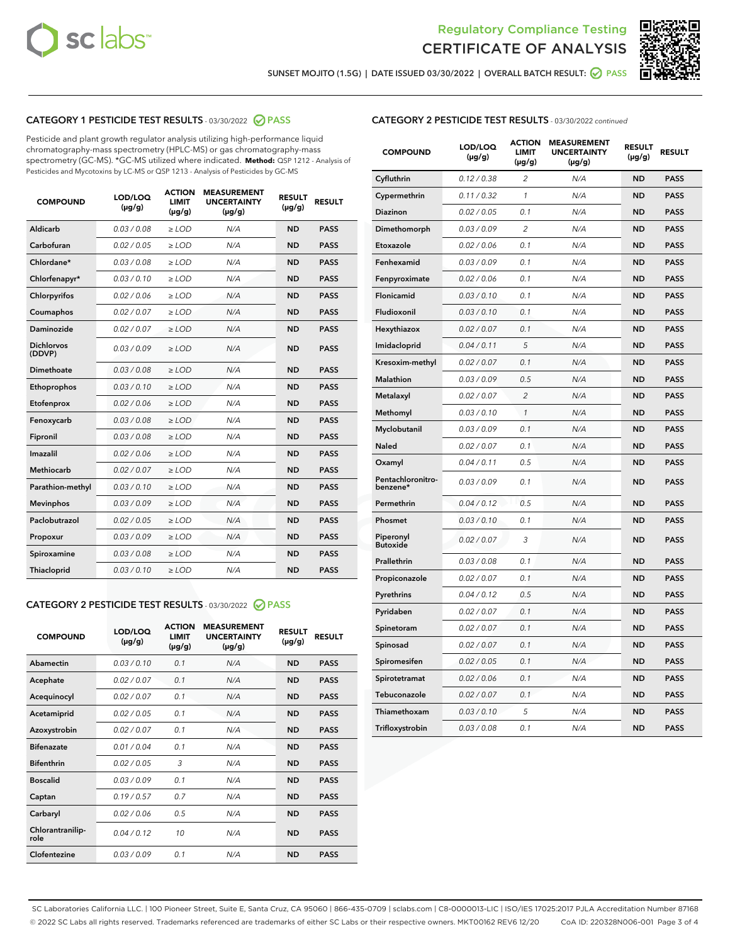



**SUNSET MOJITO (1.5G) | DATE ISSUED 03/30/2022 | OVERALL BATCH RESULT: PASS**

## **CATEGORY 1 PESTICIDE TEST RESULTS** - 03/30/2022 **PASS**

Pesticide and plant growth regulator analysis utilizing high-performance liquid chromatography-mass spectrometry (HPLC-MS) or gas chromatography-mass spectrometry (GC-MS). \*GC-MS utilized where indicated. **Method:** QSP 1212 - Analysis of Pesticides and Mycotoxins by LC-MS or QSP 1213 - Analysis of Pesticides by GC-MS

| <b>COMPOUND</b>             | LOD/LOQ<br>$(\mu g/g)$ | <b>ACTION</b><br><b>LIMIT</b><br>$(\mu g/g)$ | <b>MEASUREMENT</b><br><b>UNCERTAINTY</b><br>$(\mu g/g)$ | <b>RESULT</b><br>$(\mu g/g)$ | <b>RESULT</b> |
|-----------------------------|------------------------|----------------------------------------------|---------------------------------------------------------|------------------------------|---------------|
| Aldicarb                    | 0.03 / 0.08            | $\ge$ LOD                                    | N/A                                                     | <b>ND</b>                    | <b>PASS</b>   |
| Carbofuran                  | 0.02 / 0.05            | $\ge$ LOD                                    | N/A                                                     | <b>ND</b>                    | <b>PASS</b>   |
| Chlordane*                  | 0.03 / 0.08            | $\ge$ LOD                                    | N/A                                                     | <b>ND</b>                    | <b>PASS</b>   |
| Chlorfenapyr*               | 0.03/0.10              | $\ge$ LOD                                    | N/A                                                     | <b>ND</b>                    | <b>PASS</b>   |
| Chlorpyrifos                | 0.02/0.06              | $\ge$ LOD                                    | N/A                                                     | <b>ND</b>                    | <b>PASS</b>   |
| Coumaphos                   | 0.02 / 0.07            | $\geq$ LOD                                   | N/A                                                     | <b>ND</b>                    | <b>PASS</b>   |
| Daminozide                  | 0.02 / 0.07            | $>$ LOD                                      | N/A                                                     | <b>ND</b>                    | <b>PASS</b>   |
| <b>Dichlorvos</b><br>(DDVP) | 0.03/0.09              | $\ge$ LOD                                    | N/A                                                     | <b>ND</b>                    | <b>PASS</b>   |
| Dimethoate                  | 0.03/0.08              | $>$ LOD                                      | N/A                                                     | <b>ND</b>                    | <b>PASS</b>   |
| Ethoprophos                 | 0.03/0.10              | $\ge$ LOD                                    | N/A                                                     | <b>ND</b>                    | <b>PASS</b>   |
| Etofenprox                  | 0.02 / 0.06            | $\ge$ LOD                                    | N/A                                                     | <b>ND</b>                    | <b>PASS</b>   |
| Fenoxycarb                  | 0.03/0.08              | $>$ LOD                                      | N/A                                                     | <b>ND</b>                    | <b>PASS</b>   |
| Fipronil                    | 0.03 / 0.08            | $\ge$ LOD                                    | N/A                                                     | <b>ND</b>                    | <b>PASS</b>   |
| Imazalil                    | 0.02 / 0.06            | $>$ LOD                                      | N/A                                                     | <b>ND</b>                    | <b>PASS</b>   |
| <b>Methiocarb</b>           | 0.02 / 0.07            | $\ge$ LOD                                    | N/A                                                     | <b>ND</b>                    | <b>PASS</b>   |
| Parathion-methyl            | 0.03/0.10              | $\geq$ LOD                                   | N/A                                                     | <b>ND</b>                    | <b>PASS</b>   |
| <b>Mevinphos</b>            | 0.03/0.09              | $\ge$ LOD                                    | N/A                                                     | <b>ND</b>                    | <b>PASS</b>   |
| Paclobutrazol               | 0.02 / 0.05            | $\ge$ LOD                                    | N/A                                                     | <b>ND</b>                    | <b>PASS</b>   |
| Propoxur                    | 0.03/0.09              | $\ge$ LOD                                    | N/A                                                     | <b>ND</b>                    | <b>PASS</b>   |
| Spiroxamine                 | 0.03 / 0.08            | $\ge$ LOD                                    | N/A                                                     | <b>ND</b>                    | <b>PASS</b>   |
| Thiacloprid                 | 0.03/0.10              | $>$ LOD                                      | N/A                                                     | <b>ND</b>                    | <b>PASS</b>   |

# **CATEGORY 2 PESTICIDE TEST RESULTS** - 03/30/2022 **PASS**

| <b>COMPOUND</b>          | LOD/LOO<br>$(\mu g/g)$ | <b>ACTION</b><br><b>LIMIT</b><br>(µg/g) | <b>MEASUREMENT</b><br><b>UNCERTAINTY</b><br>$(\mu g/g)$ | <b>RESULT</b><br>$(\mu g/g)$ | <b>RESULT</b> |  |
|--------------------------|------------------------|-----------------------------------------|---------------------------------------------------------|------------------------------|---------------|--|
| Abamectin                | 0.03/0.10              | 0.1                                     | N/A                                                     | <b>ND</b>                    | <b>PASS</b>   |  |
| Acephate                 | 0.02/0.07              | 0.1                                     | N/A                                                     | <b>ND</b>                    | <b>PASS</b>   |  |
| Acequinocyl              | 0.02/0.07              | 0.1                                     | N/A                                                     | <b>ND</b>                    | <b>PASS</b>   |  |
| Acetamiprid              | 0.02/0.05              | 0.1                                     | N/A                                                     | <b>ND</b>                    | <b>PASS</b>   |  |
| Azoxystrobin             | 0.02/0.07              | 0.1                                     | N/A                                                     | <b>ND</b>                    | <b>PASS</b>   |  |
| <b>Bifenazate</b>        | 0.01/0.04              | 0.1                                     | N/A                                                     | <b>ND</b>                    | <b>PASS</b>   |  |
| <b>Bifenthrin</b>        | 0.02/0.05              | 3                                       | N/A                                                     | <b>ND</b>                    | <b>PASS</b>   |  |
| <b>Boscalid</b>          | 0.03/0.09              | 0.1                                     | N/A                                                     | <b>ND</b>                    | <b>PASS</b>   |  |
| Captan                   | 0.19/0.57              | 0.7                                     | N/A                                                     | <b>ND</b>                    | <b>PASS</b>   |  |
| Carbaryl                 | 0.02/0.06              | 0.5                                     | N/A                                                     | <b>ND</b>                    | <b>PASS</b>   |  |
| Chlorantranilip-<br>role | 0.04/0.12              | 10                                      | N/A                                                     | <b>ND</b>                    | <b>PASS</b>   |  |
| Clofentezine             | 0.03/0.09              | 0.1                                     | N/A                                                     | <b>ND</b>                    | <b>PASS</b>   |  |

### **CATEGORY 2 PESTICIDE TEST RESULTS** - 03/30/2022 continued

| <b>COMPOUND</b>               | LOD/LOQ<br>$(\mu g/g)$ | <b>ACTION</b><br><b>LIMIT</b><br>(µg/g) | <b>MEASUREMENT</b><br><b>UNCERTAINTY</b><br>(µg/g) | <b>RESULT</b><br>$(\mu g/g)$ | <b>RESULT</b> |
|-------------------------------|------------------------|-----------------------------------------|----------------------------------------------------|------------------------------|---------------|
| Cyfluthrin                    | 0.12 / 0.38            | $\overline{c}$                          | N/A                                                | <b>ND</b>                    | <b>PASS</b>   |
| Cypermethrin                  | 0.11/0.32              | 1                                       | N/A                                                | <b>ND</b>                    | <b>PASS</b>   |
| Diazinon                      | 0.02 / 0.05            | 0.1                                     | N/A                                                | <b>ND</b>                    | <b>PASS</b>   |
| Dimethomorph                  | 0.03 / 0.09            | $\overline{2}$                          | N/A                                                | <b>ND</b>                    | <b>PASS</b>   |
| Etoxazole                     | 0.02 / 0.06            | 0.1                                     | N/A                                                | <b>ND</b>                    | <b>PASS</b>   |
| Fenhexamid                    | 0.03 / 0.09            | 0.1                                     | N/A                                                | <b>ND</b>                    | <b>PASS</b>   |
| Fenpyroximate                 | 0.02 / 0.06            | 0.1                                     | N/A                                                | <b>ND</b>                    | <b>PASS</b>   |
| Flonicamid                    | 0.03 / 0.10            | 0.1                                     | N/A                                                | <b>ND</b>                    | <b>PASS</b>   |
| Fludioxonil                   | 0.03 / 0.10            | 0.1                                     | N/A                                                | <b>ND</b>                    | <b>PASS</b>   |
| Hexythiazox                   | 0.02 / 0.07            | 0.1                                     | N/A                                                | <b>ND</b>                    | <b>PASS</b>   |
| Imidacloprid                  | 0.04 / 0.11            | 5                                       | N/A                                                | <b>ND</b>                    | <b>PASS</b>   |
| Kresoxim-methyl               | 0.02 / 0.07            | 0.1                                     | N/A                                                | <b>ND</b>                    | <b>PASS</b>   |
| Malathion                     | 0.03 / 0.09            | 0.5                                     | N/A                                                | <b>ND</b>                    | <b>PASS</b>   |
| Metalaxyl                     | 0.02 / 0.07            | $\overline{c}$                          | N/A                                                | <b>ND</b>                    | <b>PASS</b>   |
| Methomyl                      | 0.03 / 0.10            | 1                                       | N/A                                                | <b>ND</b>                    | <b>PASS</b>   |
| Myclobutanil                  | 0.03 / 0.09            | 0.1                                     | N/A                                                | <b>ND</b>                    | <b>PASS</b>   |
| Naled                         | 0.02 / 0.07            | 0.1                                     | N/A                                                | <b>ND</b>                    | <b>PASS</b>   |
| Oxamyl                        | 0.04 / 0.11            | 0.5                                     | N/A                                                | <b>ND</b>                    | <b>PASS</b>   |
| Pentachloronitro-<br>benzene* | 0.03 / 0.09            | 0.1                                     | N/A                                                | <b>ND</b>                    | <b>PASS</b>   |
| Permethrin                    | 0.04/0.12              | 0.5                                     | N/A                                                | <b>ND</b>                    | <b>PASS</b>   |
| Phosmet                       | 0.03 / 0.10            | 0.1                                     | N/A                                                | <b>ND</b>                    | <b>PASS</b>   |
| Piperonyl<br><b>Butoxide</b>  | 0.02 / 0.07            | 3                                       | N/A                                                | <b>ND</b>                    | <b>PASS</b>   |
| Prallethrin                   | 0.03 / 0.08            | 0.1                                     | N/A                                                | <b>ND</b>                    | <b>PASS</b>   |
| Propiconazole                 | 0.02 / 0.07            | 0.1                                     | N/A                                                | <b>ND</b>                    | <b>PASS</b>   |
| Pyrethrins                    | 0.04 / 0.12            | 0.5                                     | N/A                                                | <b>ND</b>                    | <b>PASS</b>   |
| Pyridaben                     | 0.02 / 0.07            | 0.1                                     | N/A                                                | <b>ND</b>                    | <b>PASS</b>   |
| Spinetoram                    | 0.02 / 0.07            | 0.1                                     | N/A                                                | <b>ND</b>                    | <b>PASS</b>   |
| Spinosad                      | 0.02 / 0.07            | 0.1                                     | N/A                                                | <b>ND</b>                    | <b>PASS</b>   |
| Spiromesifen                  | 0.02 / 0.05            | 0.1                                     | N/A                                                | ND                           | PASS          |
| Spirotetramat                 | 0.02 / 0.06            | 0.1                                     | N/A                                                | <b>ND</b>                    | <b>PASS</b>   |
| Tebuconazole                  | 0.02 / 0.07            | 0.1                                     | N/A                                                | <b>ND</b>                    | <b>PASS</b>   |
| Thiamethoxam                  | 0.03 / 0.10            | 5                                       | N/A                                                | <b>ND</b>                    | <b>PASS</b>   |
| Trifloxystrobin               | 0.03 / 0.08            | 0.1                                     | N/A                                                | <b>ND</b>                    | <b>PASS</b>   |

SC Laboratories California LLC. | 100 Pioneer Street, Suite E, Santa Cruz, CA 95060 | 866-435-0709 | sclabs.com | C8-0000013-LIC | ISO/IES 17025:2017 PJLA Accreditation Number 87168 © 2022 SC Labs all rights reserved. Trademarks referenced are trademarks of either SC Labs or their respective owners. MKT00162 REV6 12/20 CoA ID: 220328N006-001 Page 3 of 4